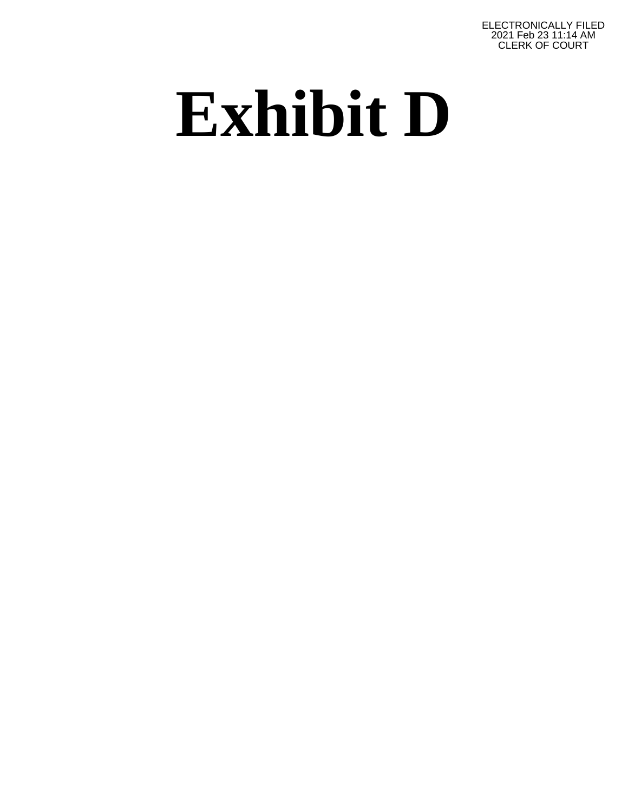ELECTRONICALLY FILED 2021 Feb 23 11:14 AM CLERK OF COURT

## **Exhibit D**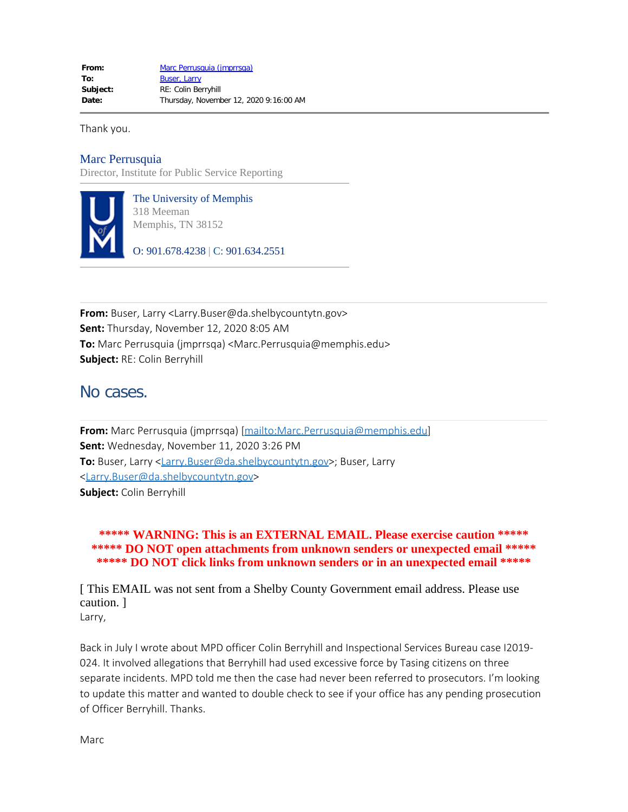Thank you.

## Marc Perrusquia

Director, Institute for Public Service Reporting



The University of Memphis 318 Meeman Memphis, TN 38152

O: 901.678.4238 | C: 901.634.2551

**From:** Buser, Larry <Larry.Buser@da.shelbycountytn.gov> **Sent:** Thursday, November 12, 2020 8:05 AM **To:** Marc Perrusquia (jmprrsqa) <Marc.Perrusquia@memphis.edu> **Subject:** RE: Colin Berryhill

## No cases.

**From:** Marc Perrusquia (jmprrsqa) [mailto:Marc.Perrusquia@memphis.edu] **Sent:** Wednesday, November 11, 2020 3:26 PM To: Buser, Larry <Larry.Buser@da.shelbycountytn.gov>; Buser, Larry <Larry.Buser@da.shelbycountytn.gov> **Subject:** Colin Berryhill

**\*\*\*\*\* WARNING: This is an EXTERNAL EMAIL. Please exercise caution \*\*\*\*\* \*\*\*\*\* DO NOT open attachments from unknown senders or unexpected email \*\*\*\*\* \*\*\*\*\* DO NOT click links from unknown senders or in an unexpected email \*\*\*\*\***

[ This EMAIL was not sent from a Shelby County Government email address. Please use caution. ]

Larry,

Back in July I wrote about MPD officer Colin Berryhill and Inspectional Services Bureau case I2019- 024. It involved allegations that Berryhill had used excessive force by Tasing citizens on three separate incidents. MPD told me then the case had never been referred to prosecutors. I'm looking to update this matter and wanted to double check to see if your office has any pending prosecution of Officer Berryhill. Thanks.